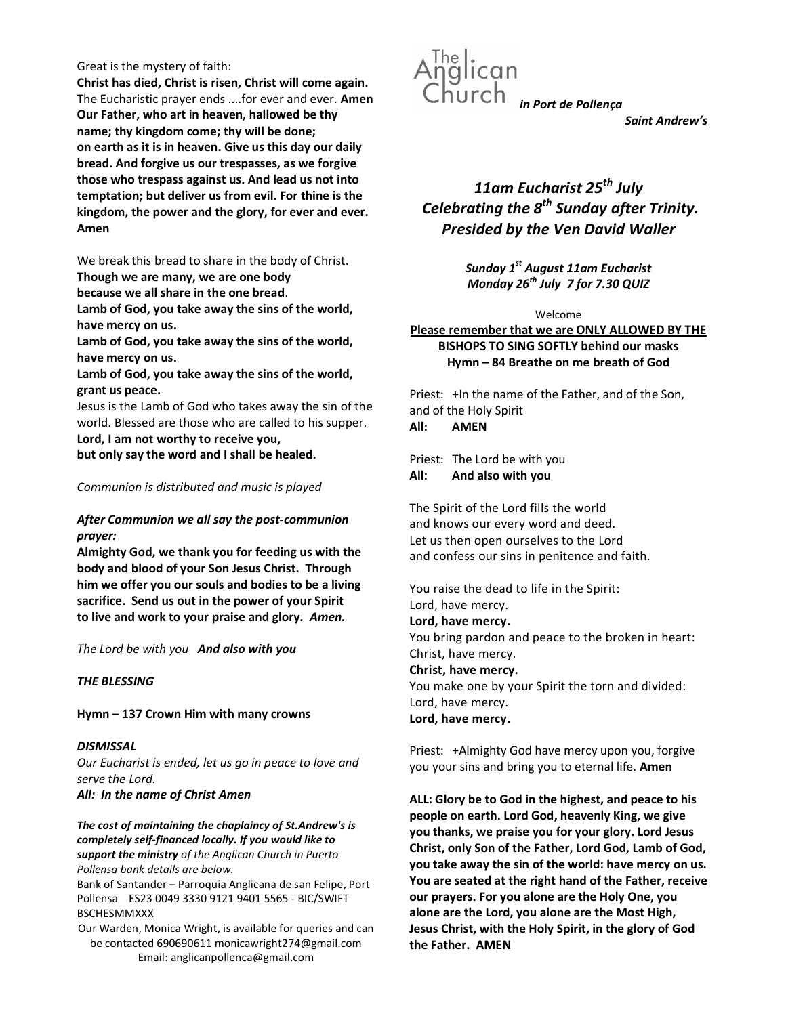#### Great is the mystery of faith:

Christ has died, Christ is risen, Christ will come again. The Eucharistic prayer ends ....for ever and ever. Amen Our Father, who art in heaven, hallowed be thy name; thy kingdom come; thy will be done; on earth as it is in heaven. Give us this day our daily bread. And forgive us our trespasses, as we forgive those who trespass against us. And lead us not into temptation; but deliver us from evil. For thine is the kingdom, the power and the glory, for ever and ever. Amen

We break this bread to share in the body of Christ.

Though we are many, we are one body

because we all share in the one bread.

Lamb of God, you take away the sins of the world, have mercy on us.

Lamb of God, you take away the sins of the world, have mercy on us.

Lamb of God, you take away the sins of the world, grant us peace.

Jesus is the Lamb of God who takes away the sin of the world. Blessed are those who are called to his supper. Lord, I am not worthy to receive you,

but only say the word and I shall be healed.

## Communion is distributed and music is played

# After Communion we all say the post-communion prayer:

Almighty God, we thank you for feeding us with the body and blood of your Son Jesus Christ. Through him we offer you our souls and bodies to be a living sacrifice. Send us out in the power of your Spirit to live and work to your praise and glory. Amen.

The Lord be with you And also with you

## THE BLESSING

Hymn – 137 Crown Him with many crowns

**DISMISSAL** Our Eucharist is ended, let us go in peace to love and serve the Lord.

All: In the name of Christ Amen

The cost of maintaining the chaplaincy of St.Andrew's is completely self-financed locally. If you would like to support the ministry of the Anglican Church in Puerto Pollensa bank details are below.

Bank of Santander – Parroquia Anglicana de san Felipe, Port Pollensa ES23 0049 3330 9121 9401 5565 - BIC/SWIFT BSCHESMMXXX

Our Warden, Monica Wright, is available for queries and can be contacted 690690611 monicawright274@gmail.com Email: anglicanpollenca@gmail.com



Saint Andrew's

# 11am Eucharist  $25^{th}$  July Celebrating the  $8<sup>th</sup>$  Sunday after Trinity. Presided by the Ven David Waller

Sunday  $1^{st}$  August 11am Eucharist Monday  $26^{th}$  July 7 for 7.30 QUIZ

Welcome

Please remember that we are ONLY ALLOWED BY THE BISHOPS TO SING SOFTLY behind our masks Hymn – 84 Breathe on me breath of God

Priest: +In the name of the Father, and of the Son, and of the Holy Spirit All: AMEN

Priest: The Lord be with you All: And also with you

The Spirit of the Lord fills the world and knows our every word and deed. Let us then open ourselves to the Lord and confess our sins in penitence and faith.

You raise the dead to life in the Spirit: Lord, have mercy. Lord, have mercy. You bring pardon and peace to the broken in heart: Christ, have mercy. Christ, have mercy. You make one by your Spirit the torn and divided: Lord, have mercy. Lord, have mercy.

Priest: +Almighty God have mercy upon you, forgive you your sins and bring you to eternal life. Amen

ALL: Glory be to God in the highest, and peace to his people on earth. Lord God, heavenly King, we give you thanks, we praise you for your glory. Lord Jesus Christ, only Son of the Father, Lord God, Lamb of God, you take away the sin of the world: have mercy on us. You are seated at the right hand of the Father, receive our prayers. For you alone are the Holy One, you alone are the Lord, you alone are the Most High, Jesus Christ, with the Holy Spirit, in the glory of God the Father. AMEN